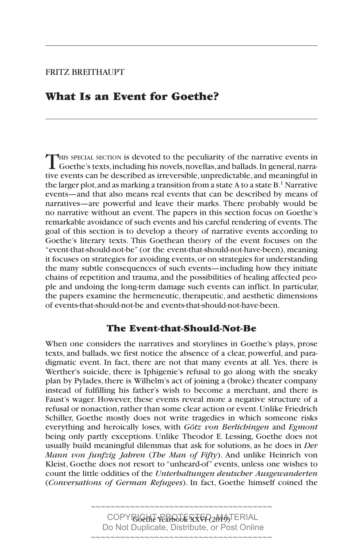## FRITZ BREITHAUPT

## **What Is an Event for Goethe?**

THIS SPECIAL SECTION is devoted to the peculiarity of the narrative events in Goethe's texts, including his novels, novellas, and ballads. In general, narrative events can be described as irreversible, unpredictable, and meaningful in the larger plot, and as marking a transition from a state A to a state B.1 Narrative events—and that also means real events that can be described by means of narratives—are powerful and leave their marks. There probably would be no narrative without an event. The papers in this section focus on Goethe's remarkable avoidance of such events and his careful rendering of events. The goal of this section is to develop a theory of narrative events according to Goethe's literary texts. This Goethean theory of the event focuses on the "event-that-should-not-be" (or the event-that-should-not-have-been), meaning it focuses on strategies for avoiding events, or on strategies for understanding the many subtle consequences of such events—including how they initiate chains of repetition and trauma, and the possibilities of healing affected people and undoing the long-term damage such events can inflict. In particular, the papers examine the hermeneutic, therapeutic, and aesthetic dimensions of events-that-should-not-be and events-that-should-not-have-been.

### **The Event-that-Should-Not-Be**

When one considers the narratives and storylines in Goethe's plays, prose texts, and ballads, we first notice the absence of a clear, powerful, and paradigmatic event. In fact, there are not that many events at all. Yes, there is Werther's suicide, there is Iphigenie's refusal to go along with the sneaky plan by Pylades, there is Wilhelm's act of joining a (broke) theater company instead of fulfilling his father's wish to become a merchant, and there is Faust's wager. However, these events reveal more a negative structure of a refusal or nonaction, rather than some clear action or event. Unlike Friedrich Schiller, Goethe mostly does not write tragedies in which someone risks everything and heroically loses, with *Götz von Berlichingen* and *Egmont*  being only partly exceptions. Unlike Theodor E. Lessing, Goethe does not usually build meaningful dilemmas that ask for solutions, as he does in *Der Mann von funfzig Jahren* (*The Man of Fifty*). And unlike Heinrich von Kleist, Goethe does not resort to "unheard-of" events, unless one wishes to count the little oddities of the *Unterhaltungen deutscher Ausgewanderten*  (*Conversations of German Refugees*). In fact, Goethe himself coined the

> COPYRGUHT PERBOJE STAR2019)TERIAL Do Not Duplicate, Distribute, or Post Online ~~~~~~~~~~~~~~~~~~~~~~~~~~~~~~~~~~~~~

~~~~~~~~~~~~~~~~~~~~~~~~~~~~~~~~~~~~~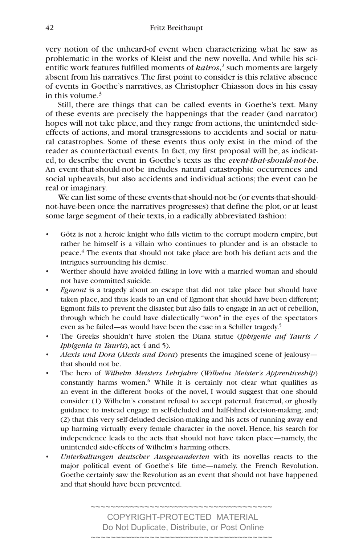very notion of the unheard-of event when characterizing what he saw as problematic in the works of Kleist and the new novella. And while his scientific work features fulfilled moments of *kairos*, 2 such moments are largely absent from his narratives. The first point to consider is this relative absence of events in Goethe's narratives, as Christopher Chiasson does in his essay in this volume. $3$ 

Still, there are things that can be called events in Goethe's text. Many of these events are precisely the happenings that the reader (and narrator) hopes will not take place, and they range from actions, the unintended sideeffects of actions, and moral transgressions to accidents and social or natural catastrophes. Some of these events thus only exist in the mind of the reader as counterfactual events. In fact, my first proposal will be, as indicated, to describe the event in Goethe's texts as the *event-that-should-not-be*. An event-that-should-not-be includes natural catastrophic occurrences and social upheavals, but also accidents and individual actions; the event can be real or imaginary.

We can list some of these events-that-should-not-be (or events-that-shouldnot-have-been once the narratives progresses) that define the plot, or at least some large segment of their texts, in a radically abbreviated fashion:

- Götz is not a heroic knight who falls victim to the corrupt modern empire, but rather he himself is a villain who continues to plunder and is an obstacle to peace.<sup>4</sup> The events that should not take place are both his defiant acts and the intrigues surrounding his demise.
- Werther should have avoided falling in love with a married woman and should not have committed suicide.
- *Egmont* is a tragedy about an escape that did not take place but should have taken place, and thus leads to an end of Egmont that should have been different; Egmont fails to prevent the disaster, but also fails to engage in an act of rebellion, through which he could have dialectically "won" in the eyes of the spectators even as he failed—as would have been the case in a Schiller tragedy.<sup>5</sup>
- The Greeks shouldn't have stolen the Diana statue (*Iphigenie auf Tauris / Iphigenia in Tauris*), act 4 and 5).
- *Alexis und Dora* (*Alexis and Dora*) presents the imagined scene of jealousy that should not be.
- The hero of *Wilhelm Meisters Lehrjahre* (*Wilhelm Meister's Apprenticeship*) constantly harms women.<sup>6</sup> While it is certainly not clear what qualifies as an event in the different books of the novel, I would suggest that one should consider: (1) Wilhelm's constant refusal to accept paternal, fraternal, or ghostly guidance to instead engage in self-deluded and half-blind decision-making, and; (2) that this very self-deluded decision-making and his acts of running away end up harming virtually every female character in the novel. Hence, his search for independence leads to the acts that should not have taken place—namely, the unintended side-effects of Wilhelm's harming others.
- *Unterhaltungen deutscher Ausgewanderten* with its novellas reacts to the major political event of Goethe's life time—namely, the French Revolution. Goethe certainly saw the Revolution as an event that should not have happened and that should have been prevented.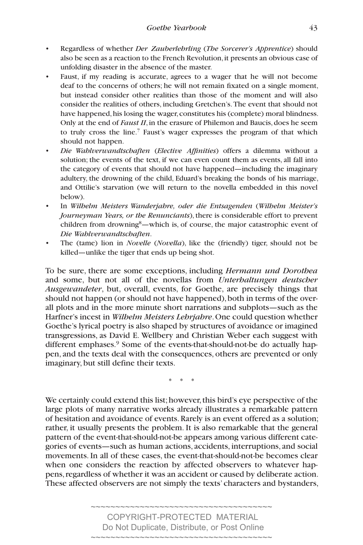- Regardless of whether *Der Zauberlehrling* (*The Sorcerer's Apprentice*) should also be seen as a reaction to the French Revolution, it presents an obvious case of unfolding disaster in the absence of the master.
- Faust, if my reading is accurate, agrees to a wager that he will not become deaf to the concerns of others; he will not remain fixated on a single moment, but instead consider other realities than those of the moment and will also consider the realities of others, including Gretchen's. The event that should not have happened, his losing the wager, constitutes his (complete) moral blindness. Only at the end of *Faust II*, in the erasure of Philemon and Baucis, does he seem to truly cross the line.7 Faust's wager expresses the program of that which should not happen.
- *Die Wahlverwandtschaften (Elective Affinities)* offers a dilemma without a solution; the events of the text, if we can even count them as events, all fall into the category of events that should not have happened—including the imaginary adultery, the drowning of the child, Eduard's breaking the bonds of his marriage, and Ottilie's starvation (we will return to the novella embedded in this novel below).
- In *Wilhelm Meisters Wanderjahre, oder die Entsagenden* (*Wilhelm Meister's Journeyman Years, or the Renunciants*), there is considerable effort to prevent children from drowning<sup>8</sup>—which is, of course, the major catastrophic event of *Die Wahlverwandtschaften*.
- The (tame) lion in *Novelle* (*Novella*), like the (friendly) tiger, should not be killed—unlike the tiger that ends up being shot.

To be sure, there are some exceptions, including *Hermann und Dorothea*  and some, but not all of the novellas from *Unterhaltungen deutscher Ausgewandeter*, but, overall, events, for Goethe, are precisely things that should not happen (or should not have happened), both in terms of the overall plots and in the more minute short narrations and subplots—such as the Harfner's incest in *Wilhelm Meisters Lehrjahre*. One could question whether Goethe's lyrical poetry is also shaped by structures of avoidance or imagined transgressions, as David E. Wellbery and Christian Weber each suggest with different emphases.<sup>9</sup> Some of the events-that-should-not-be do actually happen, and the texts deal with the consequences, others are prevented or only imaginary, but still define their texts.

\* \* \*

We certainly could extend this list; however, this bird's eye perspective of the large plots of many narrative works already illustrates a remarkable pattern of hesitation and avoidance of events. Rarely is an event offered as a solution; rather, it usually presents the problem. It is also remarkable that the general pattern of the event-that-should-not-be appears among various different categories of events—such as human actions, accidents, interruptions, and social movements. In all of these cases, the event-that-should-not-be becomes clear when one considers the reaction by affected observers to whatever happens, regardless of whether it was an accident or caused by deliberate action. These affected observers are not simply the texts' characters and bystanders,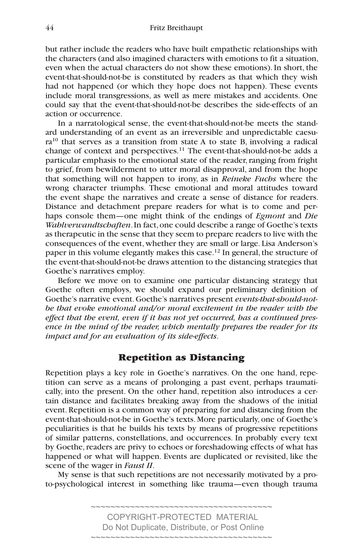but rather include the readers who have built empathetic relationships with the characters (and also imagined characters with emotions to fit a situation, even when the actual characters do not show these emotions). In short, the event-that-should-not-be is constituted by readers as that which they wish had not happened (or which they hope does not happen). These events include moral transgressions, as well as mere mistakes and accidents. One could say that the event-that-should-not-be describes the side-effects of an action or occurrence.

In a narratological sense, the event-that-should-not-be meets the standard understanding of an event as an irreversible and unpredictable caesura10 that serves as a transition from state A to state B, involving a radical change of context and perspectives.<sup>11</sup> The event-that-should-not-be adds a particular emphasis to the emotional state of the reader, ranging from fright to grief, from bewilderment to utter moral disapproval, and from the hope that something will not happen to irony, as in *Reineke Fuchs* where the wrong character triumphs. These emotional and moral attitudes toward the event shape the narratives and create a sense of distance for readers. Distance and detachment prepare readers for what is to come and perhaps console them—one might think of the endings of *Egmont* and *Die Wahlverwandtschaften*. In fact, one could describe a range of Goethe's texts as therapeutic in the sense that they seem to prepare readers to live with the consequences of the event, whether they are small or large. Lisa Anderson's paper in this volume elegantly makes this case.12 In general, the structure of the event-that-should-not-be draws attention to the distancing strategies that Goethe's narratives employ.

Before we move on to examine one particular distancing strategy that Goethe often employs, we should expand our preliminary definition of Goethe's narrative event. Goethe's narratives present *events-that-should-notbe that evoke emotional and/or moral excitement in the reader with the effect that the event, even if it has not yet occurred, has a continued presence in the mind of the reader, which mentally prepares the reader for its impact and for an evaluation of its side-effects*.

## **Repetition as Distancing**

Repetition plays a key role in Goethe's narratives. On the one hand, repetition can serve as a means of prolonging a past event, perhaps traumatically, into the present. On the other hand, repetition also introduces a certain distance and facilitates breaking away from the shadows of the initial event. Repetition is a common way of preparing for and distancing from the event-that-should-not-be in Goethe's texts. More particularly, one of Goethe's peculiarities is that he builds his texts by means of progressive repetitions of similar patterns, constellations, and occurrences. In probably every text by Goethe, readers are privy to echoes or foreshadowing effects of what has happened or what will happen. Events are duplicated or revisited, like the scene of the wager in *Faust II*.

My sense is that such repetitions are not necessarily motivated by a proto-psychological interest in something like trauma—even though trauma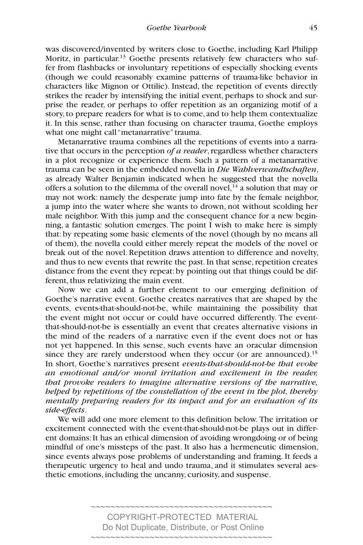was discovered/invented by writers close to Goethe, including Karl Philipp Moritz, in particular.<sup>13</sup> Goethe presents relatively few characters who suffer from flashbacks or involuntary repetitions of especially shocking events (though we could reasonably examine patterns of trauma-like behavior in characters like Mignon or Ottilie). Instead, the repetition of events directly strikes the reader by intensifying the initial event, perhaps to shock and surprise the reader, or perhaps to offer repetition as an organizing motif of a story, to prepare readers for what is to come, and to help them contextualize it. In this sense, rather than focusing on character trauma, Goethe employs what one might call "metanarrative" trauma.

Metanarrative trauma combines all the repetitions of events into a narrative that occurs in the perception *of a reader*, regardless whether characters in a plot recognize or experience them. Such a pattern of a metanarrative trauma can be seen in the embedded novella in *Die Wahlverwandtschaften*, as already Walter Benjamin indicated when he suggested that the novella offers a solution to the dilemma of the overall novel,<sup>14</sup> a solution that may or may not work: namely the desperate jump into fate by the female neighbor, a jump into the water where she wants to drown, not without scolding her male neighbor. With this jump and the consequent chance for a new beginning, a fantastic solution emerges. The point I wish to make here is simply that: by repeating some basic elements of the novel (though by no means all of them), the novella could either merely repeat the models of the novel or break out of the novel. Repetition draws attention to difference and novelty, and thus to new events that rewrite the past. In that sense, repetition creates distance from the event they repeat: by pointing out that things could be different, thus relativizing the main event.

Now we can add a further element to our emerging definition of Goethe's narrative event. Goethe creates narratives that are shaped by the events, events-that-should-not-be, while maintaining the possibility that the event might not occur or could have occurred differently. The eventthat-should-not-be is essentially an event that creates alternative visions in the mind of the readers of a narrative even if the event does not or has not yet happened. In this sense, such events have an oracular dimension since they are rarely understood when they occur (or are announced).<sup>15</sup> In short, Goethe's narratives present *events-that-should-not-be that evoke an emotional and/or moral irritation and excitement in the reader, that provoke readers to imagine alternative versions of the narrative, helped by repetitions of the constellation of the event in the plot, thereby mentally preparing readers for its impact and for an evaluation of its side-effects*.

We will add one more element to this definition below. The irritation or excitement connected with the event-that-should-not-be plays out in different domains: It has an ethical dimension of avoiding wrongdoing or of being mindful of one's missteps of the past. It also has a hermeneutic dimension, since events always pose problems of understanding and framing. It feeds a therapeutic urgency to heal and undo trauma, and it stimulates several aesthetic emotions, including the uncanny, curiosity, and suspense.

> ~~~~~~~~~~~~~~~~~~~~~~~~~~~~~~~~~~~~~ COPYRIGHT-PROTECTED MATERIAL Do Not Duplicate, Distribute, or Post Online

> > ~~~~~~~~~~~~~~~~~~~~~~~~~~~~~~~~~~~~~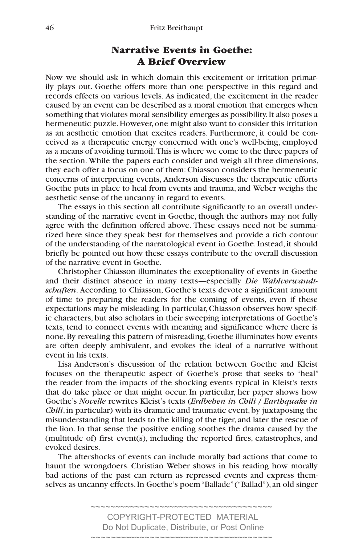#### 46 Fritz Breithaupt

# **Narrative Events in Goethe: A Brief Overview**

Now we should ask in which domain this excitement or irritation primarily plays out. Goethe offers more than one perspective in this regard and records effects on various levels. As indicated, the excitement in the reader caused by an event can be described as a moral emotion that emerges when something that violates moral sensibility emerges as possibility. It also poses a hermeneutic puzzle. However, one might also want to consider this irritation as an aesthetic emotion that excites readers. Furthermore, it could be conceived as a therapeutic energy concerned with one's well-being, employed as a means of avoiding turmoil. This is where we come to the three papers of the section. While the papers each consider and weigh all three dimensions, they each offer a focus on one of them: Chiasson considers the hermeneutic concerns of interpreting events, Anderson discusses the therapeutic efforts Goethe puts in place to heal from events and trauma, and Weber weighs the aesthetic sense of the uncanny in regard to events.

The essays in this section all contribute significantly to an overall understanding of the narrative event in Goethe, though the authors may not fully agree with the definition offered above. These essays need not be summarized here since they speak best for themselves and provide a rich contour of the understanding of the narratological event in Goethe. Instead, it should briefly be pointed out how these essays contribute to the overall discussion of the narrative event in Goethe.

Christopher Chiasson illuminates the exceptionality of events in Goethe and their distinct absence in many texts—especially *Die Wahlverwandtschaften*. According to Chiasson, Goethe's texts devote a significant amount of time to preparing the readers for the coming of events, even if these expectations may be misleading. In particular, Chiasson observes how specific characters, but also scholars in their sweeping interpretations of Goethe's texts, tend to connect events with meaning and significance where there is none. By revealing this pattern of misreading, Goethe illuminates how events are often deeply ambivalent, and evokes the ideal of a narrative without event in his texts.

Lisa Anderson's discussion of the relation between Goethe and Kleist focuses on the therapeutic aspect of Goethe's prose that seeks to "heal" the reader from the impacts of the shocking events typical in Kleist's texts that do take place or that might occur. In particular, her paper shows how Goethe's *Novelle* rewrites Kleist's texts (*Erdbeben in Chili* / *Earthquake in Chili*, in particular) with its dramatic and traumatic event, by juxtaposing the misunderstanding that leads to the killing of the tiger, and later the rescue of the lion. In that sense the positive ending soothes the drama caused by the (multitude of) first event(s), including the reported fires, catastrophes, and evoked desires.

The aftershocks of events can include morally bad actions that come to haunt the wrongdoers. Christian Weber shows in his reading how morally bad actions of the past can return as repressed events and express themselves as uncanny effects. In Goethe's poem "Ballade" ("Ballad"), an old singer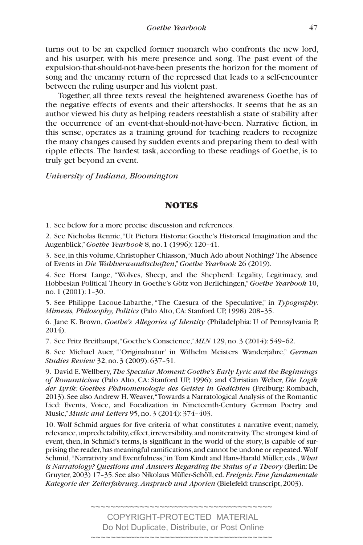turns out to be an expelled former monarch who confronts the new lord, and his usurper, with his mere presence and song. The past event of the expulsion-that-should-not-have-been presents the horizon for the moment of song and the uncanny return of the repressed that leads to a self-encounter between the ruling usurper and his violent past.

Together, all three texts reveal the heightened awareness Goethe has of the negative effects of events and their aftershocks. It seems that he as an author viewed his duty as helping readers reestablish a state of stability after the occurrence of an event-that-should-not-have-been. Narrative fiction, in this sense, operates as a training ground for teaching readers to recognize the many changes caused by sudden events and preparing them to deal with ripple effects. The hardest task, according to these readings of Goethe, is to truly get beyond an event.

*University of Indiana, Bloomington*

#### **NOTES**

1. See below for a more precise discussion and references.

2. See Nicholas Rennie, "Ut Pictura Historia: Goethe's Historical Imagination and the Augenblick," *Goethe Yearbook* 8, no. 1 (1996): 120–41.

3. See, in this volume, Christopher Chiasson, "Much Ado about Nothing? The Absence of Events in *Die Wahlverwandtschaften*," *Goethe Yearbook* 26 (2019).

4. See Horst Lange, "Wolves, Sheep, and the Shepherd: Legality, Legitimacy, and Hobbesian Political Theory in Goethe's Götz von Berlichingen," *Goethe Yearbook* 10, no. 1 (2001): 1–30.

5. See Philippe Lacoue-Labarthe, "The Caesura of the Speculative," in *Typography: Mimesis, Philosophy, Politics* (Palo Alto, CA: Stanford UP, 1998) 208–35.

6. Jane K. Brown, *Goethe's Allegories of Identity* (Philadelphia: U of Pennsylvania P, 2014).

7. See Fritz Breithaupt, "Goethe's Conscience," *MLN* 129, no. 3 (2014): 549–62.

8. See Michael Auer, "'Originalnatur' in Wilhelm Meisters Wanderjahre," *German Studies Review* 32, no. 3 (2009): 637–51.

9. David E. Wellbery, *The Specular Moment: Goethe's Early Lyric and the Beginnings of Romanticism* (Palo Alto, CA: Stanford UP, 1996); and Christian Weber, *Die Logik der Lyrik: Goethes Phänomenologie des Geistes in Gedichten* (Freiburg: Rombach, 2013). See also Andrew H. Weaver, "Towards a Narratological Analysis of the Romantic Lied: Events, Voice, and Focalization in Nineteenth-Century German Poetry and Music," *Music and Letters* 95, no. 3 (2014): 374–403.

10. Wolf Schmid argues for five criteria of what constitutes a narrative event; namely, relevance, unpredictability, effect, irreversibility, and noniterativity. The strongest kind of event, then, in Schmid's terms, is significant in the world of the story, is capable of surprising the reader, has meaningful ramifications, and cannot be undone or repeated. Wolf Schmid, "Narrativity and Eventfulness," in Tom Kindt and Hans-Harald Müller, eds., *What is Narratology? Questions and Answers Regarding the Status of a Theory* (Berlin: De Gruyter, 2003) 17–35. See also Nikolaus Müller-Schöll, ed. *Ereignis: Eine fundamentale Kategorie der Zeiterfahrung. Anspruch und Aporien* (Bielefeld: transcript, 2003).